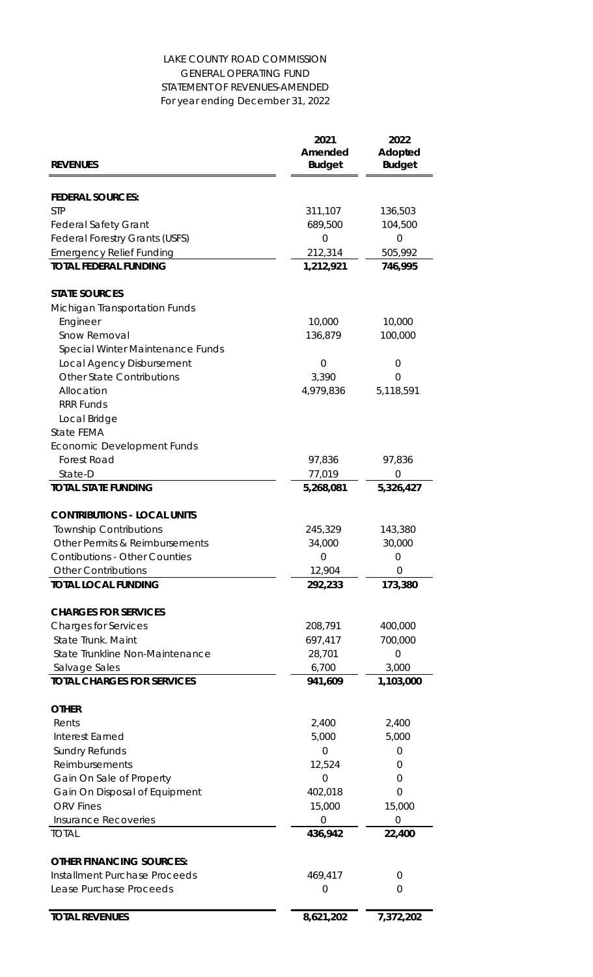| <b>REVENUES</b>                       | 2021<br>Amended<br><b>Budget</b> | 2022<br>Adopted<br><b>Budget</b> |
|---------------------------------------|----------------------------------|----------------------------------|
|                                       |                                  |                                  |
| <b>FEDERAL SOURCES:</b>               |                                  |                                  |
| <b>STP</b>                            | 311,107                          | 136,503                          |
| <b>Federal Safety Grant</b>           | 689,500                          | 104,500                          |
| <b>Federal Forestry Grants (USFS)</b> | 0                                | $\overline{O}$                   |
| <b>Emergency Relief Funding</b>       | 212,314                          | 505,992                          |
| <b>TOTAL FEDERAL FUNDING</b>          | 1,212,921                        | 746,995                          |
| <b>STATE SOURCES</b>                  |                                  |                                  |
| <b>Michigan Transportation Funds</b>  |                                  |                                  |
| Engineer                              | 10,000                           | 10,000                           |
| Snow Removal                          | 136,879                          | 100,000                          |
| Special Winter Maintenance Funds      |                                  |                                  |
| Local Agency Disbursement             | $\overline{0}$                   | $\overline{0}$                   |
| <b>Other State Contributions</b>      | 3,390                            | $\overline{0}$                   |
| Allocation                            | 4,979,836                        | 5,118,591                        |
| <b>RRR Funds</b>                      |                                  |                                  |
| Local Bridge                          |                                  |                                  |
| <b>State FEMA</b>                     |                                  |                                  |
| <b>Economic Development Funds</b>     |                                  |                                  |
| <b>Forest Road</b>                    | 97,836                           | 97,836                           |
| State-D                               | 77,019                           | $\overline{0}$                   |
| <b>TOTAL STATE FUNDING</b>            | 5,268,081                        | 5,326,427                        |
| <b>CONTRIBUTIONS - LOCAL UNITS</b>    |                                  |                                  |
| <b>Township Contributions</b>         | 245,329                          | 143,380                          |
| Other Permits & Reimbursements        | 34,000                           | 30,000                           |
| <b>Contibutions - Other Counties</b>  | $\overline{0}$                   | $\Omega$                         |
| <b>Other Contributions</b>            | 12,904                           | $\overline{0}$                   |
| <b>TOTAL LOCAL FUNDING</b>            | 292,233                          | 173,380                          |
| <b>CHARGES FOR SERVICES</b>           |                                  |                                  |
| <b>Charges for Services</b>           | 208,791                          | 400,000                          |
| <b>State Trunk. Maint</b>             | 697,417                          | 700,000                          |
| State Trunkline Non-Maintenance       | 28,701                           | $\overline{0}$                   |
| Salvage Sales                         | 6,700                            | 3,000                            |
| <b>TOTAL CHARGES FOR SERVICES</b>     | 941,609                          | 1,103,000                        |
| <b>OTHER</b>                          |                                  |                                  |

Rents 2,400 2,400

| <b>TOTAL REVENUES</b>           | 8,621,202 | 7,372,202 |
|---------------------------------|-----------|-----------|
|                                 |           |           |
| Lease Purchase Proceeds         | 0         |           |
| Installment Purchase Proceeds   | 469,417   | $\bigcap$ |
| <b>OTHER FINANCING SOURCES:</b> |           |           |
| <b>TOTAL</b>                    | 436,942   | 22,400    |
| Insurance Recoveries            | $\Omega$  | ( )       |
| <b>ORV</b> Fines                | 15,000    | 15,000    |
| Gain On Disposal of Equipment   | 402,018   |           |
| Gain On Sale of Property        | 0         | O         |
| Reimbursements                  | 12,524    |           |
| <b>Sundry Refunds</b>           |           |           |
| Interest Earned                 | 5,000     | 5,000     |

## LAKE COUNTY ROAD COMMISSION GENERAL OPERATING FUND STATEMENT OF REVENUES-AMENDED For year ending December 31, 2022